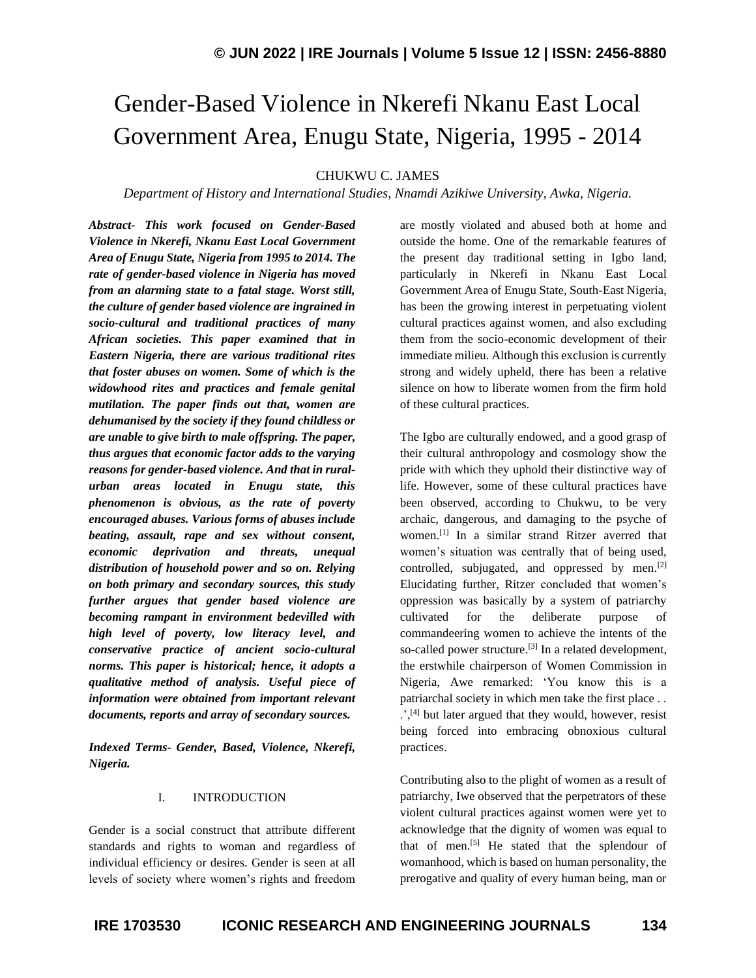# Gender-Based Violence in Nkerefi Nkanu East Local Government Area, Enugu State, Nigeria, 1995 - 2014

CHUKWU C. JAMES

*Department of History and International Studies, Nnamdi Azikiwe University, Awka, Nigeria.*

*Abstract- This work focused on Gender-Based Violence in Nkerefi, Nkanu East Local Government Area of Enugu State, Nigeria from 1995 to 2014. The rate of gender-based violence in Nigeria has moved from an alarming state to a fatal stage. Worst still, the culture of gender based violence are ingrained in socio-cultural and traditional practices of many African societies. This paper examined that in Eastern Nigeria, there are various traditional rites that foster abuses on women. Some of which is the widowhood rites and practices and female genital mutilation. The paper finds out that, women are dehumanised by the society if they found childless or are unable to give birth to male offspring. The paper, thus argues that economic factor adds to the varying reasons for gender-based violence. And that in ruralurban areas located in Enugu state, this phenomenon is obvious, as the rate of poverty encouraged abuses. Various forms of abuses include beating, assault, rape and sex without consent, economic deprivation and threats, unequal distribution of household power and so on. Relying on both primary and secondary sources, this study further argues that gender based violence are becoming rampant in environment bedevilled with high level of poverty, low literacy level, and conservative practice of ancient socio-cultural norms. This paper is historical; hence, it adopts a qualitative method of analysis. Useful piece of information were obtained from important relevant documents, reports and array of secondary sources.*

*Indexed Terms- Gender, Based, Violence, Nkerefi, Nigeria.*

#### I. INTRODUCTION

Gender is a social construct that attribute different standards and rights to woman and regardless of individual efficiency or desires. Gender is seen at all levels of society where women's rights and freedom are mostly violated and abused both at home and outside the home. One of the remarkable features of the present day traditional setting in Igbo land, particularly in Nkerefi in Nkanu East Local Government Area of Enugu State, South-East Nigeria, has been the growing interest in perpetuating violent cultural practices against women, and also excluding them from the socio-economic development of their immediate milieu. Although this exclusion is currently strong and widely upheld, there has been a relative silence on how to liberate women from the firm hold of these cultural practices.

The Igbo are culturally endowed, and a good grasp of their cultural anthropology and cosmology show the pride with which they uphold their distinctive way of life. However, some of these cultural practices have been observed, according to Chukwu, to be very archaic, dangerous, and damaging to the psyche of women.[1] In a similar strand Ritzer averred that women's situation was centrally that of being used, controlled, subjugated, and oppressed by men.[2] Elucidating further, Ritzer concluded that women's oppression was basically by a system of patriarchy cultivated for the deliberate purpose commandeering women to achieve the intents of the so-called power structure.<sup>[3]</sup> In a related development, the erstwhile chairperson of Women Commission in Nigeria, Awe remarked: 'You know this is a patriarchal society in which men take the first place . .  $\therefore$ <sup>[4]</sup> but later argued that they would, however, resist being forced into embracing obnoxious cultural practices.

Contributing also to the plight of women as a result of patriarchy, Iwe observed that the perpetrators of these violent cultural practices against women were yet to acknowledge that the dignity of women was equal to that of men.<sup>[5]</sup> He stated that the splendour of womanhood, which is based on human personality, the prerogative and quality of every human being, man or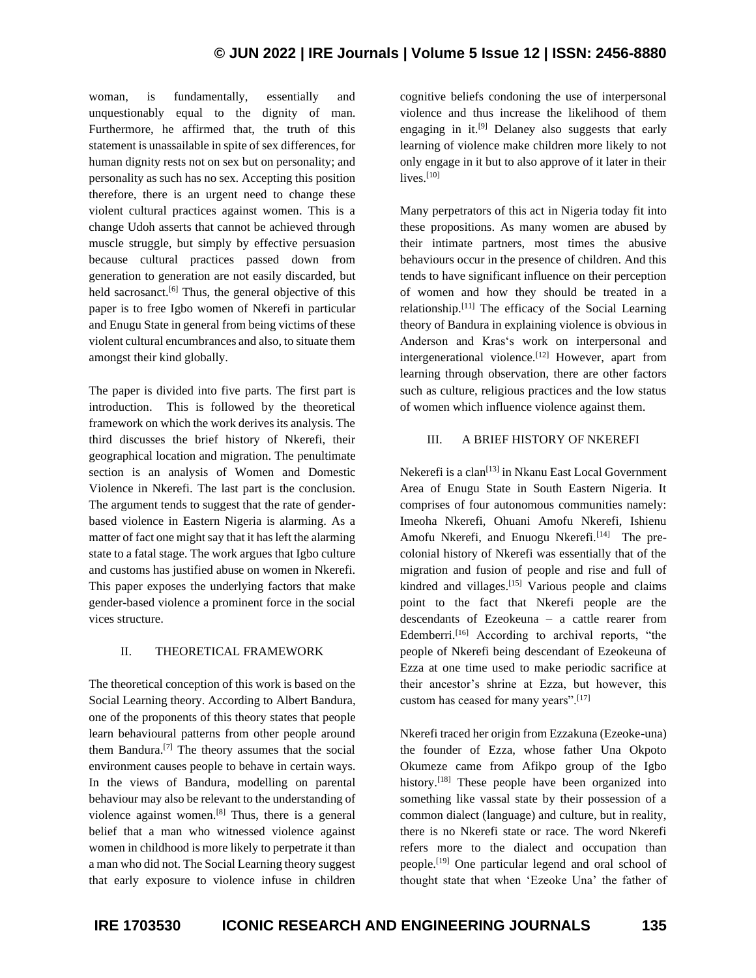woman, is fundamentally, essentially and unquestionably equal to the dignity of man. Furthermore, he affirmed that, the truth of this statement is unassailable in spite of sex differences, for human dignity rests not on sex but on personality; and personality as such has no sex. Accepting this position therefore, there is an urgent need to change these violent cultural practices against women. This is a change Udoh asserts that cannot be achieved through muscle struggle, but simply by effective persuasion because cultural practices passed down from generation to generation are not easily discarded, but held sacrosanct.<sup>[6]</sup> Thus, the general objective of this paper is to free Igbo women of Nkerefi in particular and Enugu State in general from being victims of these violent cultural encumbrances and also, to situate them amongst their kind globally.

The paper is divided into five parts. The first part is introduction. This is followed by the theoretical framework on which the work derives its analysis. The third discusses the brief history of Nkerefi, their geographical location and migration. The penultimate section is an analysis of Women and Domestic Violence in Nkerefi. The last part is the conclusion. The argument tends to suggest that the rate of genderbased violence in Eastern Nigeria is alarming. As a matter of fact one might say that it has left the alarming state to a fatal stage. The work argues that Igbo culture and customs has justified abuse on women in Nkerefi. This paper exposes the underlying factors that make gender-based violence a prominent force in the social vices structure.

### II. THEORETICAL FRAMEWORK

The theoretical conception of this work is based on the Social Learning theory. According to Albert Bandura, one of the proponents of this theory states that people learn behavioural patterns from other people around them Bandura. [7] The theory assumes that the social environment causes people to behave in certain ways. In the views of Bandura, modelling on parental behaviour may also be relevant to the understanding of violence against women.[8] Thus, there is a general belief that a man who witnessed violence against women in childhood is more likely to perpetrate it than a man who did not. The Social Learning theory suggest that early exposure to violence infuse in children

cognitive beliefs condoning the use of interpersonal violence and thus increase the likelihood of them engaging in it.<sup>[9]</sup> Delaney also suggests that early learning of violence make children more likely to not only engage in it but to also approve of it later in their lives. [10]

Many perpetrators of this act in Nigeria today fit into these propositions. As many women are abused by their intimate partners, most times the abusive behaviours occur in the presence of children. And this tends to have significant influence on their perception of women and how they should be treated in a relationship.[11] The efficacy of the Social Learning theory of Bandura in explaining violence is obvious in Anderson and Kras's work on interpersonal and intergenerational violence.<sup>[12]</sup> However, apart from learning through observation, there are other factors such as culture, religious practices and the low status of women which influence violence against them.

### III. A BRIEF HISTORY OF NKEREFI

Nekerefi is a clan<sup>[13]</sup> in Nkanu East Local Government Area of Enugu State in South Eastern Nigeria. It comprises of four autonomous communities namely: Imeoha Nkerefi, Ohuani Amofu Nkerefi, Ishienu Amofu Nkerefi, and Enuogu Nkerefi.<sup>[14]</sup> The precolonial history of Nkerefi was essentially that of the migration and fusion of people and rise and full of kindred and villages.<sup>[15]</sup> Various people and claims point to the fact that Nkerefi people are the descendants of Ezeokeuna – a cattle rearer from Edemberri.<sup>[16]</sup> According to archival reports, "the people of Nkerefi being descendant of Ezeokeuna of Ezza at one time used to make periodic sacrifice at their ancestor's shrine at Ezza, but however, this custom has ceased for many years".[17]

Nkerefi traced her origin from Ezzakuna (Ezeoke-una) the founder of Ezza, whose father Una Okpoto Okumeze came from Afikpo group of the Igbo history.<sup>[18]</sup> These people have been organized into something like vassal state by their possession of a common dialect (language) and culture, but in reality, there is no Nkerefi state or race. The word Nkerefi refers more to the dialect and occupation than people.[19] One particular legend and oral school of thought state that when 'Ezeoke Una' the father of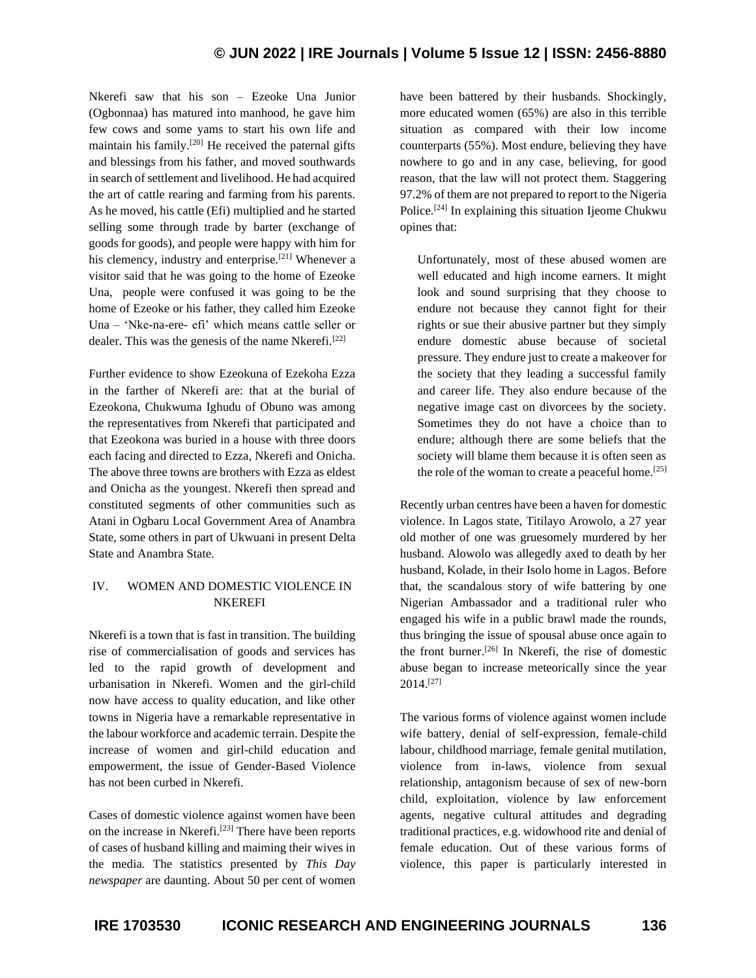Nkerefi saw that his son – Ezeoke Una Junior (Ogbonnaa) has matured into manhood, he gave him few cows and some yams to start his own life and maintain his family.<sup>[20]</sup> He received the paternal gifts and blessings from his father, and moved southwards in search of settlement and livelihood. He had acquired the art of cattle rearing and farming from his parents. As he moved, his cattle (Efi) multiplied and he started selling some through trade by barter (exchange of goods for goods), and people were happy with him for his clemency, industry and enterprise.<sup>[21]</sup> Whenever a visitor said that he was going to the home of Ezeoke Una, people were confused it was going to be the home of Ezeoke or his father, they called him Ezeoke Una – 'Nke-na-ere- efi' which means cattle seller or dealer. This was the genesis of the name Nkerefi.<sup>[22]</sup>

Further evidence to show Ezeokuna of Ezekoha Ezza in the farther of Nkerefi are: that at the burial of Ezeokona, Chukwuma Ighudu of Obuno was among the representatives from Nkerefi that participated and that Ezeokona was buried in a house with three doors each facing and directed to Ezza, Nkerefi and Onicha. The above three towns are brothers with Ezza as eldest and Onicha as the youngest. Nkerefi then spread and constituted segments of other communities such as Atani in Ogbaru Local Government Area of Anambra State, some others in part of Ukwuani in present Delta State and Anambra State.

## IV. WOMEN AND DOMESTIC VIOLENCE IN NKEREFI

Nkerefi is a town that is fast in transition. The building rise of commercialisation of goods and services has led to the rapid growth of development and urbanisation in Nkerefi. Women and the girl-child now have access to quality education, and like other towns in Nigeria have a remarkable representative in the labour workforce and academic terrain. Despite the increase of women and girl-child education and empowerment, the issue of Gender-Based Violence has not been curbed in Nkerefi.

Cases of domestic violence against women have been on the increase in Nkerefi.[23] There have been reports of cases of husband killing and maiming their wives in the media. The statistics presented by *This Day newspaper* are daunting. About 50 per cent of women have been battered by their husbands. Shockingly, more educated women (65%) are also in this terrible situation as compared with their low income counterparts (55%). Most endure, believing they have nowhere to go and in any case, believing, for good reason, that the law will not protect them. Staggering 97.2% of them are not prepared to report to the Nigeria Police.<sup>[24]</sup> In explaining this situation Ijeome Chukwu opines that:

Unfortunately, most of these abused women are well educated and high income earners. It might look and sound surprising that they choose to endure not because they cannot fight for their rights or sue their abusive partner but they simply endure domestic abuse because of societal pressure. They endure just to create a makeover for the society that they leading a successful family and career life. They also endure because of the negative image cast on divorcees by the society. Sometimes they do not have a choice than to endure; although there are some beliefs that the society will blame them because it is often seen as the role of the woman to create a peaceful home.<sup>[25]</sup>

Recently urban centres have been a haven for domestic violence. In Lagos state, Titilayo Arowolo, a 27 year old mother of one was gruesomely murdered by her husband. Alowolo was allegedly axed to death by her husband, Kolade, in their Isolo home in Lagos. Before that, the scandalous story of wife battering by one Nigerian Ambassador and a traditional ruler who engaged his wife in a public brawl made the rounds, thus bringing the issue of spousal abuse once again to the front burner.[26] In Nkerefi, the rise of domestic abuse began to increase meteorically since the year  $2014.<sup>[27]</sup>$ 

The various forms of violence against women include wife battery, denial of self-expression, female-child labour, childhood marriage, female genital mutilation, violence from in-laws, violence from sexual relationship, antagonism because of sex of new-born child, exploitation, violence by law enforcement agents, negative cultural attitudes and degrading traditional practices, e.g. widowhood rite and denial of female education. Out of these various forms of violence, this paper is particularly interested in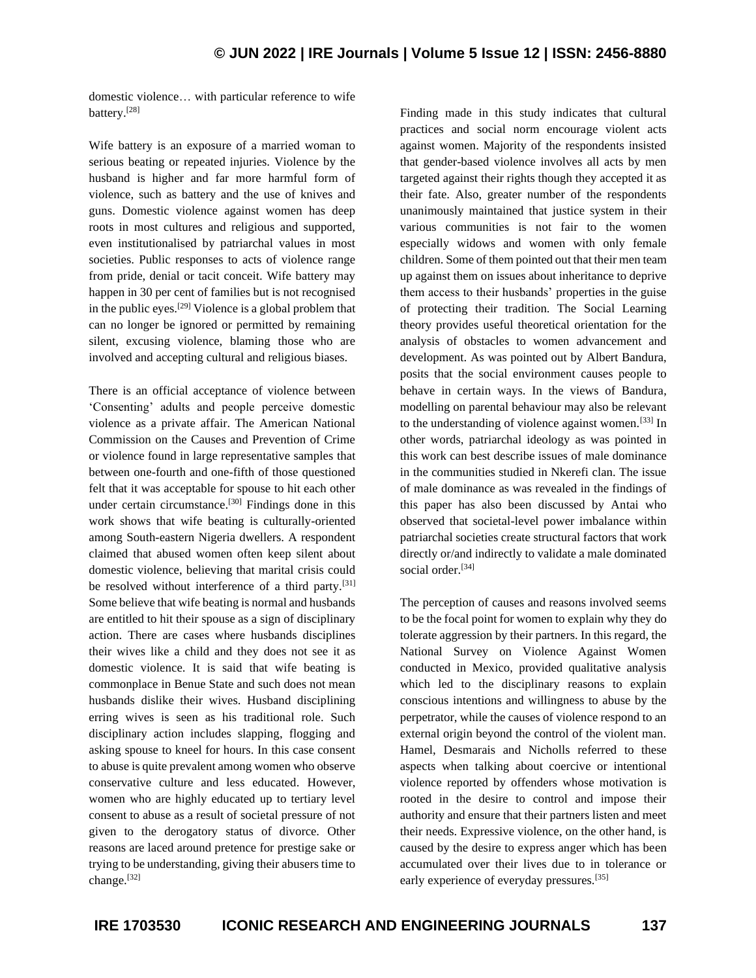domestic violence… with particular reference to wife battery.[28]

Wife battery is an exposure of a married woman to serious beating or repeated injuries. Violence by the husband is higher and far more harmful form of violence, such as battery and the use of knives and guns. Domestic violence against women has deep roots in most cultures and religious and supported, even institutionalised by patriarchal values in most societies. Public responses to acts of violence range from pride, denial or tacit conceit. Wife battery may happen in 30 per cent of families but is not recognised in the public eyes.<sup>[29]</sup> Violence is a global problem that can no longer be ignored or permitted by remaining silent, excusing violence, blaming those who are involved and accepting cultural and religious biases.

There is an official acceptance of violence between 'Consenting' adults and people perceive domestic violence as a private affair. The American National Commission on the Causes and Prevention of Crime or violence found in large representative samples that between one-fourth and one-fifth of those questioned felt that it was acceptable for spouse to hit each other under certain circumstance.[30] Findings done in this work shows that wife beating is culturally-oriented among South-eastern Nigeria dwellers. A respondent claimed that abused women often keep silent about domestic violence, believing that marital crisis could be resolved without interference of a third party.[31] Some believe that wife beating is normal and husbands are entitled to hit their spouse as a sign of disciplinary action. There are cases where husbands disciplines their wives like a child and they does not see it as domestic violence. It is said that wife beating is commonplace in Benue State and such does not mean husbands dislike their wives. Husband disciplining erring wives is seen as his traditional role. Such disciplinary action includes slapping, flogging and asking spouse to kneel for hours. In this case consent to abuse is quite prevalent among women who observe conservative culture and less educated. However, women who are highly educated up to tertiary level consent to abuse as a result of societal pressure of not given to the derogatory status of divorce. Other reasons are laced around pretence for prestige sake or trying to be understanding, giving their abusers time to change.[32]

Finding made in this study indicates that cultural practices and social norm encourage violent acts against women. Majority of the respondents insisted that gender-based violence involves all acts by men targeted against their rights though they accepted it as their fate. Also, greater number of the respondents unanimously maintained that justice system in their various communities is not fair to the women especially widows and women with only female children. Some of them pointed out that their men team up against them on issues about inheritance to deprive them access to their husbands' properties in the guise of protecting their tradition. The Social Learning theory provides useful theoretical orientation for the analysis of obstacles to women advancement and development. As was pointed out by Albert Bandura, posits that the social environment causes people to behave in certain ways. In the views of Bandura, modelling on parental behaviour may also be relevant to the understanding of violence against women.<sup>[33]</sup> In other words, patriarchal ideology as was pointed in this work can best describe issues of male dominance in the communities studied in Nkerefi clan. The issue of male dominance as was revealed in the findings of this paper has also been discussed by Antai who observed that societal-level power imbalance within patriarchal societies create structural factors that work directly or/and indirectly to validate a male dominated social order.<sup>[34]</sup>

The perception of causes and reasons involved seems to be the focal point for women to explain why they do tolerate aggression by their partners. In this regard, the National Survey on Violence Against Women conducted in Mexico, provided qualitative analysis which led to the disciplinary reasons to explain conscious intentions and willingness to abuse by the perpetrator, while the causes of violence respond to an external origin beyond the control of the violent man. Hamel, Desmarais and Nicholls referred to these aspects when talking about coercive or intentional violence reported by offenders whose motivation is rooted in the desire to control and impose their authority and ensure that their partners listen and meet their needs. Expressive violence, on the other hand, is caused by the desire to express anger which has been accumulated over their lives due to in tolerance or early experience of everyday pressures.<sup>[35]</sup>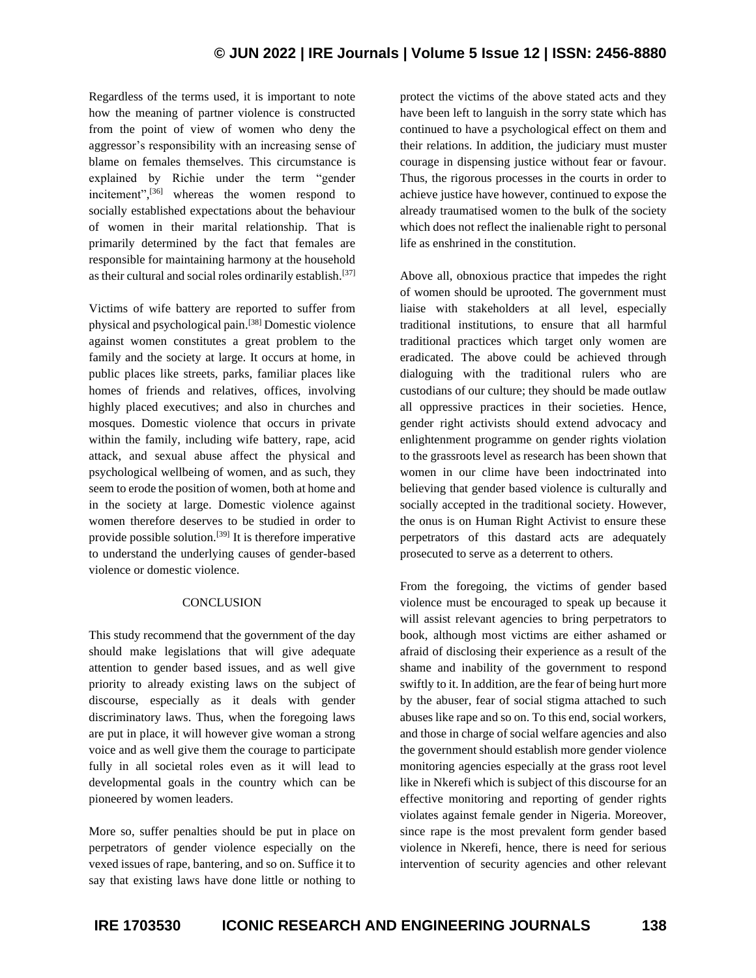Regardless of the terms used, it is important to note how the meaning of partner violence is constructed from the point of view of women who deny the aggressor's responsibility with an increasing sense of blame on females themselves. This circumstance is explained by Richie under the term "gender incitement",<sup>[36]</sup> whereas the women respond to socially established expectations about the behaviour of women in their marital relationship. That is primarily determined by the fact that females are responsible for maintaining harmony at the household as their cultural and social roles ordinarily establish.<sup>[37]</sup>

Victims of wife battery are reported to suffer from physical and psychological pain.[38] Domestic violence against women constitutes a great problem to the family and the society at large. It occurs at home, in public places like streets, parks, familiar places like homes of friends and relatives, offices, involving highly placed executives; and also in churches and mosques. Domestic violence that occurs in private within the family, including wife battery, rape, acid attack, and sexual abuse affect the physical and psychological wellbeing of women, and as such, they seem to erode the position of women, both at home and in the society at large. Domestic violence against women therefore deserves to be studied in order to provide possible solution.<sup>[39]</sup> It is therefore imperative to understand the underlying causes of gender-based violence or domestic violence.

### **CONCLUSION**

This study recommend that the government of the day should make legislations that will give adequate attention to gender based issues, and as well give priority to already existing laws on the subject of discourse, especially as it deals with gender discriminatory laws. Thus, when the foregoing laws are put in place, it will however give woman a strong voice and as well give them the courage to participate fully in all societal roles even as it will lead to developmental goals in the country which can be pioneered by women leaders.

More so, suffer penalties should be put in place on perpetrators of gender violence especially on the vexed issues of rape, bantering, and so on. Suffice it to say that existing laws have done little or nothing to protect the victims of the above stated acts and they have been left to languish in the sorry state which has continued to have a psychological effect on them and their relations. In addition, the judiciary must muster courage in dispensing justice without fear or favour. Thus, the rigorous processes in the courts in order to achieve justice have however, continued to expose the already traumatised women to the bulk of the society which does not reflect the inalienable right to personal life as enshrined in the constitution.

Above all, obnoxious practice that impedes the right of women should be uprooted. The government must liaise with stakeholders at all level, especially traditional institutions, to ensure that all harmful traditional practices which target only women are eradicated. The above could be achieved through dialoguing with the traditional rulers who are custodians of our culture; they should be made outlaw all oppressive practices in their societies. Hence, gender right activists should extend advocacy and enlightenment programme on gender rights violation to the grassroots level as research has been shown that women in our clime have been indoctrinated into believing that gender based violence is culturally and socially accepted in the traditional society. However, the onus is on Human Right Activist to ensure these perpetrators of this dastard acts are adequately prosecuted to serve as a deterrent to others.

From the foregoing, the victims of gender based violence must be encouraged to speak up because it will assist relevant agencies to bring perpetrators to book, although most victims are either ashamed or afraid of disclosing their experience as a result of the shame and inability of the government to respond swiftly to it. In addition, are the fear of being hurt more by the abuser, fear of social stigma attached to such abuses like rape and so on. To this end, social workers, and those in charge of social welfare agencies and also the government should establish more gender violence monitoring agencies especially at the grass root level like in Nkerefi which is subject of this discourse for an effective monitoring and reporting of gender rights violates against female gender in Nigeria. Moreover, since rape is the most prevalent form gender based violence in Nkerefi, hence, there is need for serious intervention of security agencies and other relevant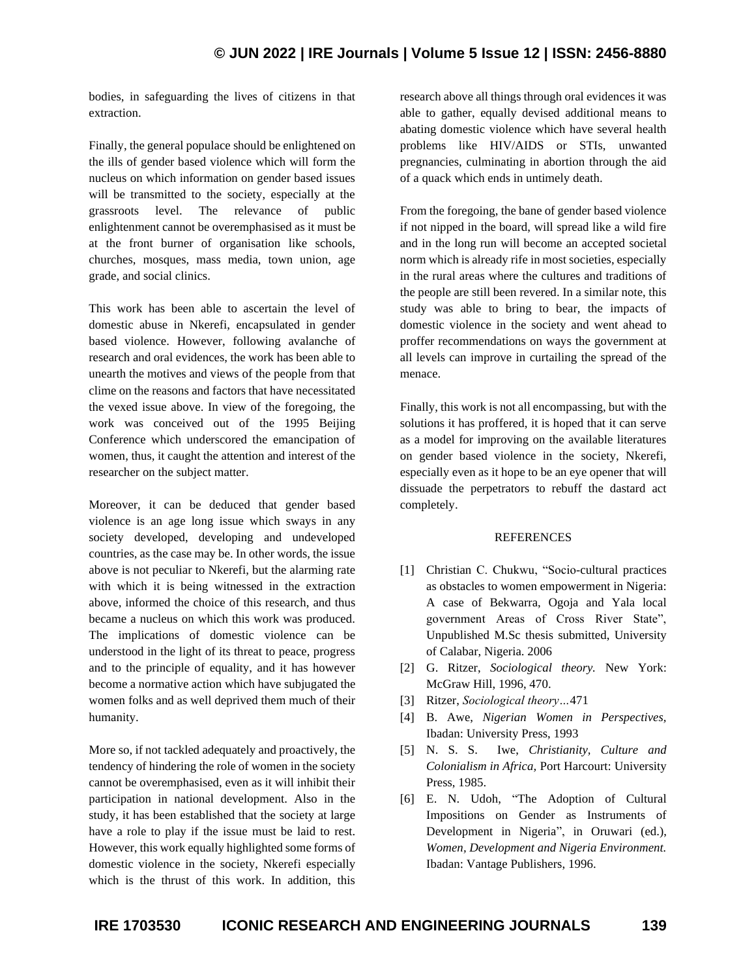## **© JUN 2022 | IRE Journals | Volume 5 Issue 12 | ISSN: 2456-8880**

bodies, in safeguarding the lives of citizens in that extraction.

Finally, the general populace should be enlightened on the ills of gender based violence which will form the nucleus on which information on gender based issues will be transmitted to the society, especially at the grassroots level. The relevance of public enlightenment cannot be overemphasised as it must be at the front burner of organisation like schools, churches, mosques, mass media, town union, age grade, and social clinics.

This work has been able to ascertain the level of domestic abuse in Nkerefi, encapsulated in gender based violence. However, following avalanche of research and oral evidences, the work has been able to unearth the motives and views of the people from that clime on the reasons and factors that have necessitated the vexed issue above. In view of the foregoing, the work was conceived out of the 1995 Beijing Conference which underscored the emancipation of women, thus, it caught the attention and interest of the researcher on the subject matter.

Moreover, it can be deduced that gender based violence is an age long issue which sways in any society developed, developing and undeveloped countries, as the case may be. In other words, the issue above is not peculiar to Nkerefi, but the alarming rate with which it is being witnessed in the extraction above, informed the choice of this research, and thus became a nucleus on which this work was produced. The implications of domestic violence can be understood in the light of its threat to peace, progress and to the principle of equality, and it has however become a normative action which have subjugated the women folks and as well deprived them much of their humanity.

More so, if not tackled adequately and proactively, the tendency of hindering the role of women in the society cannot be overemphasised, even as it will inhibit their participation in national development. Also in the study, it has been established that the society at large have a role to play if the issue must be laid to rest. However, this work equally highlighted some forms of domestic violence in the society, Nkerefi especially which is the thrust of this work. In addition, this

research above all things through oral evidences it was able to gather, equally devised additional means to abating domestic violence which have several health problems like HIV/AIDS or STIs, unwanted pregnancies, culminating in abortion through the aid of a quack which ends in untimely death.

From the foregoing, the bane of gender based violence if not nipped in the board, will spread like a wild fire and in the long run will become an accepted societal norm which is already rife in most societies, especially in the rural areas where the cultures and traditions of the people are still been revered. In a similar note, this study was able to bring to bear, the impacts of domestic violence in the society and went ahead to proffer recommendations on ways the government at all levels can improve in curtailing the spread of the menace.

Finally, this work is not all encompassing, but with the solutions it has proffered, it is hoped that it can serve as a model for improving on the available literatures on gender based violence in the society, Nkerefi, especially even as it hope to be an eye opener that will dissuade the perpetrators to rebuff the dastard act completely.

#### REFERENCES

- [1] Christian C. Chukwu, "Socio-cultural practices as obstacles to women empowerment in Nigeria: A case of Bekwarra, Ogoja and Yala local government Areas of Cross River State", Unpublished M.Sc thesis submitted, University of Calabar, Nigeria. 2006
- [2] G. Ritzer, *Sociological theory.* New York: McGraw Hill, 1996, 470.
- [3] Ritzer, *Sociological theory…*471
- [4] B. Awe, *Nigerian Women in Perspectives,* Ibadan: University Press, 1993
- [5] N. S. S. Iwe, *Christianity, Culture and Colonialism in Africa,* Port Harcourt: University Press, 1985.
- [6] E. N. Udoh, "The Adoption of Cultural Impositions on Gender as Instruments of Development in Nigeria", in Oruwari (ed.), *Women, Development and Nigeria Environment.* Ibadan: Vantage Publishers, 1996.